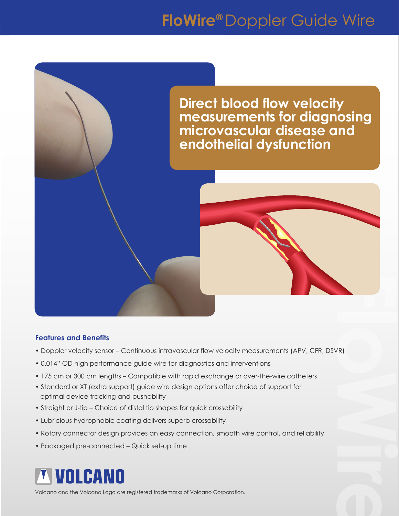## **FloWire®** Doppler Guide Wire



## **Features and Benefits**

- Doppler velocity sensor Continuous intravascular flow velocity measurements (APV, CFR, DSVR)
- 0.014" OD high performance guide wire for diagnostics and interventions
- 175 cm or 300 cm lengths Compatible with rapid exchange or over-the-wire catheters
- Standard or XT (extra support) guide wire design options offer choice of support for optimal device tracking and pushability
- Straight or J-tip Choice of distal tip shapes for quick crossability
- Lubricious hydrophobic coating delivers superb crossability
- Rotary connector design provides an easy connection, smooth wire control, and reliability
- Packaged pre-connected Quick set-up time



Volcano and the Volcano Logo are registered trademarks of Volcano Corporation.